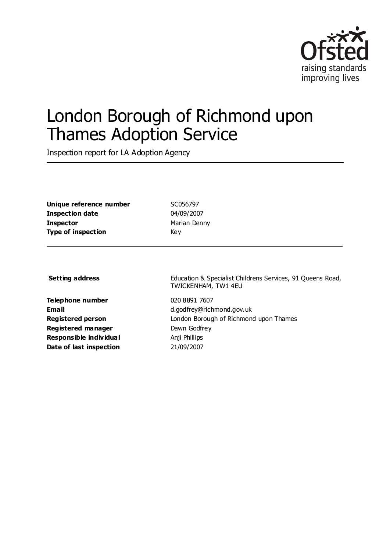

# London Borough of Richmond upon Thames Adoption Service

Inspection report for LA Adoption Agency

**Unique reference number** SC056797 **Inspection date** 04/09/2007 **Inspector** Marian Denny **Type of inspection** Key

**Telephone number** 020 8891 7607 **Registered manager** Dawn Godfrey **Responsible individual** Anji Phillips **Date of last inspection** 21/09/2007

**Setting address** Education & Specialist Childrens Services, 91 Oueens Road, TWICKENHAM, TW1 4EU

**Email** d.godfrey@richmond.gov.uk **Registered person** London Borough of Richmond upon Thames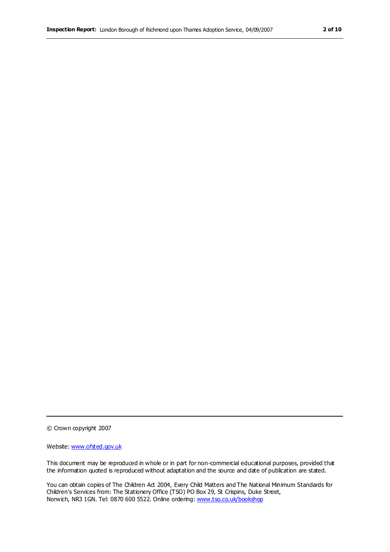© Crown copyright 2007

Website: www.ofsted.gov.uk

This document may be reproduced in whole or in part for non-commercial educational purposes, provided that the information quoted is reproduced without adaptation and the source and date of publication are stated.

You can obtain copies of The Children Act 2004, Every Child Matters and The National Minimum Standards for Children's Services from: The Stationery Office (TSO) PO Box 29, St Crispins, Duke Street, Norwich, NR3 1GN. Tel: 0870 600 5522. Online ordering: www.tso.co.uk/bookshop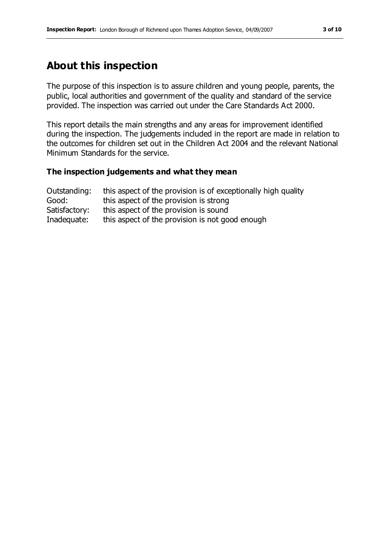# **About this inspection**

The purpose of this inspection is to assure children and young people, parents, the public, local authorities and government of the quality and standard of the service provided. The inspection was carried out under the Care Standards Act 2000.

This report details the main strengths and any areas for improvement identified during the inspection. The judgements included in the report are made in relation to the outcomes for children set out in the Children Act 2004 and the relevant National Minimum Standards for the service.

#### **The inspection judgements and what they mean**

| Outstanding:  | this aspect of the provision is of exceptionally high quality |
|---------------|---------------------------------------------------------------|
| Good:         | this aspect of the provision is strong                        |
| Satisfactory: | this aspect of the provision is sound                         |
| Inadequate:   | this aspect of the provision is not good enough               |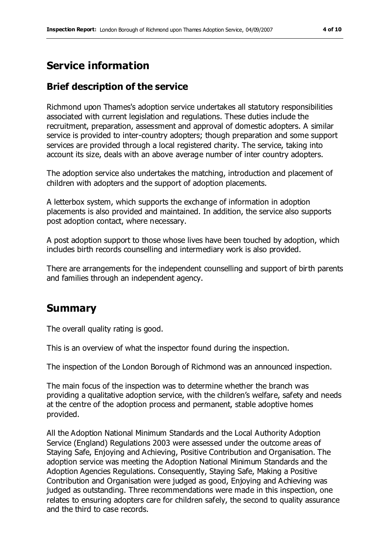# **Service information**

## **Brief description of the service**

Richmond upon Thames's adoption service undertakes all statutory responsibilities associated with current legislation and regulations. These duties include the recruitment, preparation, assessment and approval of domestic adopters. A similar service is provided to inter-country adopters; though preparation and some support services are provided through a local registered charity. The service, taking into account its size, deals with an above average number of inter country adopters.

The adoption service also undertakes the matching, introduction and placement of children with adopters and the support of adoption placements.

A letterbox system, which supports the exchange of information in adoption placements is also provided and maintained. In addition, the service also supports post adoption contact, where necessary.

A post adoption support to those whose lives have been touched by adoption, which includes birth records counselling and intermediary work is also provided.

There are arrangements for the independent counselling and support of birth parents and families through an independent agency.

# **Summary**

The overall quality rating is good.

This is an overview of what the inspector found during the inspection.

The inspection of the London Borough of Richmond was an announced inspection.

The main focus of the inspection was to determine whether the branch was providing a qualitative adoption service, with the children's welfare, safety and needs at the centre of the adoption process and permanent, stable adoptive homes provided.

All the Adoption National Minimum Standards and the Local Authority Adoption Service (England) Regulations 2003 were assessed under the outcome areas of Staying Safe, Enjoying and Achieving, Positive Contribution and Organisation. The adoption service was meeting the Adoption National Minimum Standards and the Adoption Agencies Regulations. Consequently, Staying Safe, Making a Positive Contribution and Organisation were judged as good, Enjoying and Achieving was judged as outstanding. Three recommendations were made in this inspection, one relates to ensuring adopters care for children safely, the second to quality assurance and the third to case records.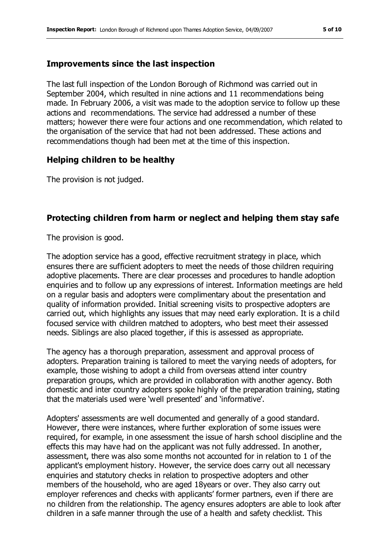#### **Improvements since the last inspection**

The last full inspection of the London Borough of Richmond was carried out in September 2004, which resulted in nine actions and 11 recommendations being made. In February 2006, a visit was made to the adoption service to follow up these actions and recommendations. The service had addressed a number of these matters; however there were four actions and one recommendation, which related to the organisation of the service that had not been addressed. These actions and recommendations though had been met at the time of this inspection.

### **Helping children to be healthy**

The provision is not judged.

### **Protecting children from harm or neglect and helping them stay safe**

The provision is good.

The adoption service has a good, effective recruitment strategy in place, which ensures there are sufficient adopters to meet the needs of those children requiring adoptive placements. There are clear processes and procedures to handle adoption enquiries and to follow up any expressions of interest. Information meetings are held on a regular basis and adopters were complimentary about the presentation and quality of information provided. Initial screening visits to prospective adopters are carried out, which highlights any issues that may need early exploration. It is a child focused service with children matched to adopters, who best meet their assessed needs. Siblings are also placed together, if this is assessed as appropriate.

The agency has a thorough preparation, assessment and approval process of adopters. Preparation training is tailored to meet the varying needs of adopters, for example, those wishing to adopt a child from overseas attend inter country preparation groups, which are provided in collaboration with another agency. Both domestic and inter country adopters spoke highly of the preparation training, stating that the materials used were 'well presented' and 'informative'.

Adopters' assessments are well documented and generally of a good standard. However, there were instances, where further exploration of some issues were required, for example, in one assessment the issue of harsh school discipline and the effects this may have had on the applicant was not fully addressed. In another, assessment, there was also some months not accounted for in relation to 1 of the applicant's employment history. However, the service does carry out all necessary enquiries and statutory checks in relation to prospective adopters and other members of the household, who are aged 18years or over. They also carry out employer references and checks with applicants' former partners, even if there are no children from the relationship. The agency ensures adopters are able to look after children in a safe manner through the use of a health and safety checklist. This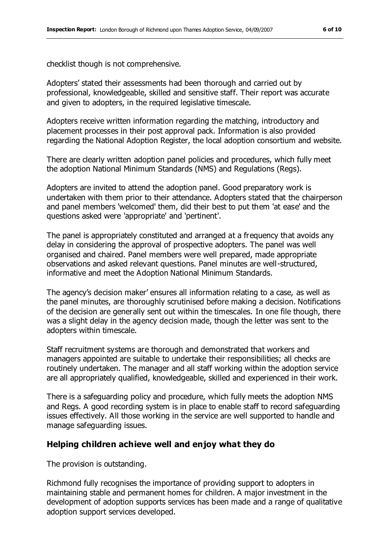checklist though is not comprehensive.

Adopters' stated their assessments had been thorough and carried out by professional, knowledgeable, skilled and sensitive staff. Their report was accurate and given to adopters, in the required legislative timescale.

Adopters receive written information regarding the matching, introductory and placement processes in their post approval pack. Information is also provided regarding the National Adoption Register, the local adoption consortium and website.

There are clearly written adoption panel policies and procedures, which fully meet the adoption National Minimum Standards (NMS) and Regulations (Regs).

Adopters are invited to attend the adoption panel. Good preparatory work is undertaken with them prior to their attendance. Adopters stated that the chairperson and panel members 'welcomed' them, did their best to put them 'at ease' and the questions asked were 'appropriate' and 'pertinent'.

The panel is appropriately constituted and arranged at a frequency that avoids any delay in considering the approval of prospective adopters. The panel was well organised and chaired. Panel members were well prepared, made appropriate observations and asked relevant questions. Panel minutes are well-structured, informative and meet the Adoption National Minimum Standards.

The agency's decision maker' ensures all information relating to a case, as well as the panel minutes, are thoroughly scrutinised before making a decision. Notifications of the decision are generally sent out within the timescales. In one file though, there was a slight delay in the agency decision made, though the letter was sent to the adopters within timescale.

Staff recruitment systems are thorough and demonstrated that workers and managers appointed are suitable to undertake their responsibilities; all checks are routinely undertaken. The manager and all staff working within the adoption service are all appropriately qualified, knowledgeable, skilled and experienced in their work.

There is a safeguarding policy and procedure, which fully meets the adoption NMS and Regs. A good recording system is in place to enable staff to record safeguarding issues effectively. All those working in the service are well supported to handle and manage safeguarding issues.

### **Helping children achieve well and enjoy what they do**

The provision is outstanding.

Richmond fully recognises the importance of providing support to adopters in maintaining stable and permanent homes for children. A major investment in the development of adoption supports services has been made and a range of qualitative adoption support services developed.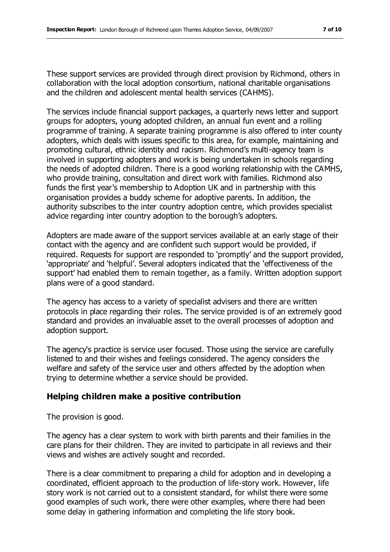These support services are provided through direct provision by Richmond, others in collaboration with the local adoption consortium, national charitable organisations and the children and adolescent mental health services (CAHMS).

The services include financial support packages, a quarterly news letter and support groups for adopters, young adopted children, an annual fun event and a rolling programme of training. A separate training programme is also offered to inter county adopters, which deals with issues specific to this area, for example, maintaining and promoting cultural, ethnic identity and racism. Richmond's multi-agency team is involved in supporting adopters and work is being undertaken in schools regarding the needs of adopted children. There is a good working relationship with the CAMHS, who provide training, consultation and direct work with families. Richmond also funds the first year's membership to Adoption UK and in partnership with this organisation provides a buddy scheme for adoptive parents. In addition, the authority subscribes to the inter country adoption centre, which provides specialist advice regarding inter country adoption to the borough's adopters.

Adopters are made aware of the support services available at an early stage of their contact with the agency and are confident such support would be provided, if required. Requests for support are responded to 'promptly' and the support provided, 'appropriate' and 'helpful'. Several adopters indicated that the 'effectiveness of the support' had enabled them to remain together, as a family. Written adoption support plans were of a good standard.

The agency has access to a variety of specialist advisers and there are written protocols in place regarding their roles. The service provided is of an extremely good standard and provides an invaluable asset to the overall processes of adoption and adoption support.

The agency's practice is service user focused. Those using the service are carefully listened to and their wishes and feelings considered. The agency considers the welfare and safety of the service user and others affected by the adoption when trying to determine whether a service should be provided.

### **Helping children make a positive contribution**

The provision is good.

The agency has a clear system to work with birth parents and their families in the care plans for their children. They are invited to participate in all reviews and their views and wishes are actively sought and recorded.

There is a clear commitment to preparing a child for adoption and in developing a coordinated, efficient approach to the production of life-story work. However, life story work is not carried out to a consistent standard, for whilst there were some good examples of such work, there were other examples, where there had been some delay in gathering information and completing the life story book.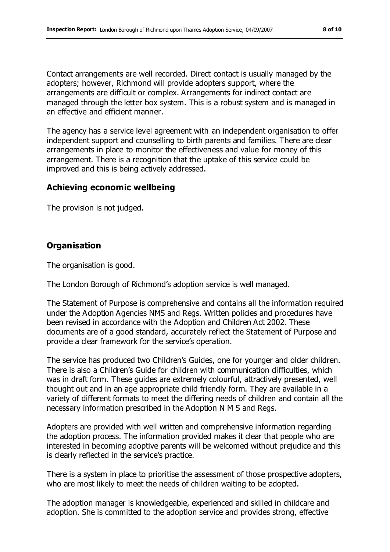Contact arrangements are well recorded. Direct contact is usually managed by the adopters; however, Richmond will provide adopters support, where the arrangements are difficult or complex. Arrangements for indirect contact are managed through the letter box system. This is a robust system and is managed in an effective and efficient manner.

The agency has a service level agreement with an independent organisation to offer independent support and counselling to birth parents and families. There are clear arrangements in place to monitor the effectiveness and value for money of this arrangement. There is a recognition that the uptake of this service could be improved and this is being actively addressed.

#### **Achieving economic wellbeing**

The provision is not judged.

### **Organisation**

The organisation is good.

The London Borough of Richmond's adoption service is well managed.

The Statement of Purpose is comprehensive and contains all the information required under the Adoption Agencies NMS and Regs. Written policies and procedures have been revised in accordance with the Adoption and Children Act 2002. These documents are of a good standard, accurately reflect the Statement of Purpose and provide a clear framework for the service's operation.

The service has produced two Children's Guides, one for younger and older children. There is also a Children's Guide for children with communication difficulties, which was in draft form. These guides are extremely colourful, attractively presented, well thought out and in an age appropriate child friendly form. They are available in a variety of different formats to meet the differing needs of children and contain all the necessary information prescribed in the Adoption N M S and Regs.

Adopters are provided with well written and comprehensive information regarding the adoption process. The information provided makes it clear that people who are interested in becoming adoptive parents will be welcomed without prejudice and this is clearly reflected in the service's practice.

There is a system in place to prioritise the assessment of those prospective adopters, who are most likely to meet the needs of children waiting to be adopted.

The adoption manager is knowledgeable, experienced and skilled in childcare and adoption. She is committed to the adoption service and provides strong, effective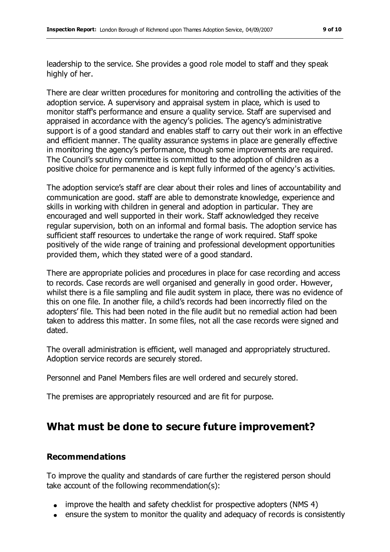leadership to the service. She provides a good role model to staff and they speak highly of her.

There are clear written procedures for monitoring and controlling the activities of the adoption service. A supervisory and appraisal system in place, which is used to monitor staff's performance and ensure a quality service. Staff are supervised and appraised in accordance with the agency's policies. The agency's administrative support is of a good standard and enables staff to carry out their work in an effective and efficient manner. The quality assurance systems in place are generally effective in monitoring the agency's performance, though some improvements are required. The Council's scrutiny committee is committed to the adoption of children as a positive choice for permanence and is kept fully informed of the agency's activities.

The adoption service's staff are clear about their roles and lines of accountability and communication are good. staff are able to demonstrate knowledge, experience and skills in working with children in general and adoption in particular. They are encouraged and well supported in their work. Staff acknowledged they receive regular supervision, both on an informal and formal basis. The adoption service has sufficient staff resources to undertake the range of work required. Staff spoke positively of the wide range of training and professional development opportunities provided them, which they stated were of a good standard.

There are appropriate policies and procedures in place for case recording and access to records. Case records are well organised and generally in good order. However, whilst there is a file sampling and file audit system in place, there was no evidence of this on one file. In another file, a child's records had been incorrectly filed on the adopters' file. This had been noted in the file audit but no remedial action had been taken to address this matter. In some files, not all the case records were signed and dated.

The overall administration is efficient, well managed and appropriately structured. Adoption service records are securely stored.

Personnel and Panel Members files are well ordered and securely stored.

The premises are appropriately resourced and are fit for purpose.

# **What must be done to secure future improvement?**

#### **Recommendations**

To improve the quality and standards of care further the registered person should take account of the following recommendation(s):

- improve the health and safety checklist for prospective adopters (NMS 4)
- ensure the system to monitor the quality and adequacy of records is consistently